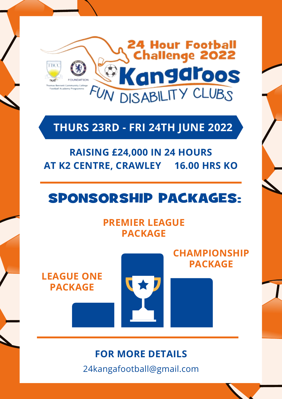

### **THURS 23RD - FRI 24TH JUNE 2022**

## **RAISING £24,000 IN 24 HOURS AT K2 CENTRE, CRAWLEY 16.00 HRS KO**

## SPONSORSHIP PACKAGES:

#### **PREMIER LEAGUE PACKAGE**

**LEAGUE ONE PACKAGE**



**CHAMPIONSHIP PACKAGE**

### **FOR MORE DETAILS**

24kangafootball@gmail.com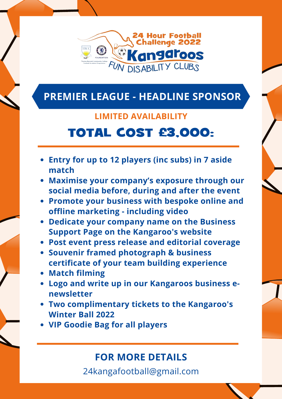

## **PREMIER LEAGUE - HEADLINE SPONSOR**

#### **LIMITED AVAILABILITY**

# TOTAL COST £3,000:

- **Entry for up to 12 players (inc subs) in 7 aside match**
- **Maximise your company's exposure through our social media before, during and after the event**
- **Promote your business with bespoke online and offline marketing - including video**
- **Dedicate your company name on the Business Support Page on the Kangaroo's website**
- **Post event press release and editorial coverage**
- **Souvenir framed photograph & business certificate of your team building experience**
- **Match filming**
- **Logo and write up in our Kangaroos business enewsletter**
- **Two complimentary tickets to the Kangaroo's Winter Ball 2022**
- **VIP Goodie Bag for all players**

### **FOR MORE DETAILS**

24kangafootball@gmail.com